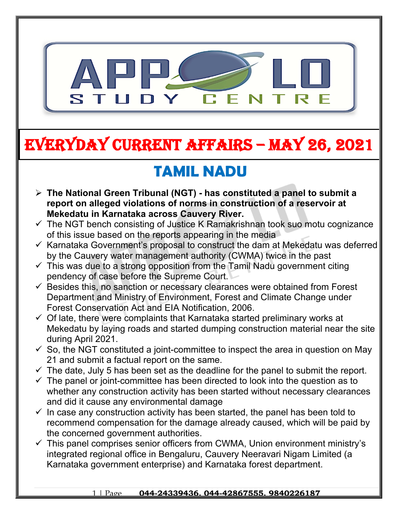

# **EVERYDAY CURRENT AFFAIRS – MAY 26, 2021**

# **TAMIL NADU**

**-**

- **The National Green Tribunal (NGT) has constituted a panel to submit a report on alleged violations of norms in construction of a reservoir at Mekedatu in Karnataka across Cauvery River.**
- $\checkmark$  The NGT bench consisting of Justice K Ramakrishnan took suo motu cognizance of this issue based on the reports appearing in the media
- $\checkmark$  Karnataka Government's proposal to construct the dam at Mekedatu was deferred by the Cauvery water management authority (CWMA) twice in the past
- $\checkmark$  This was due to a strong opposition from the Tamil Nadu government citing pendency of case before the Supreme Court.
- $\checkmark$  Besides this, no sanction or necessary clearances were obtained from Forest Department and Ministry of Environment, Forest and Climate Change under Forest Conservation Act and EIA Notification, 2006.
- $\checkmark$  Of late, there were complaints that Karnataka started preliminary works at Mekedatu by laying roads and started dumping construction material near the site during April 2021.
- $\checkmark$  So, the NGT constituted a joint-committee to inspect the area in question on May 21 and submit a factual report on the same.
- $\checkmark$  The date, July 5 has been set as the deadline for the panel to submit the report.
- $\checkmark$  The panel or joint-committee has been directed to look into the question as to whether any construction activity has been started without necessary clearances and did it cause any environmental damage
- $\checkmark$  In case any construction activity has been started, the panel has been told to recommend compensation for the damage already caused, which will be paid by the concerned government authorities.
- $\checkmark$  This panel comprises senior officers from CWMA, Union environment ministry's integrated regional office in Bengaluru, Cauvery Neeravari Nigam Limited (a Karnataka government enterprise) and Karnataka forest department.

#### 1 | Page **044-24339436, 044-42867555, 9840226187**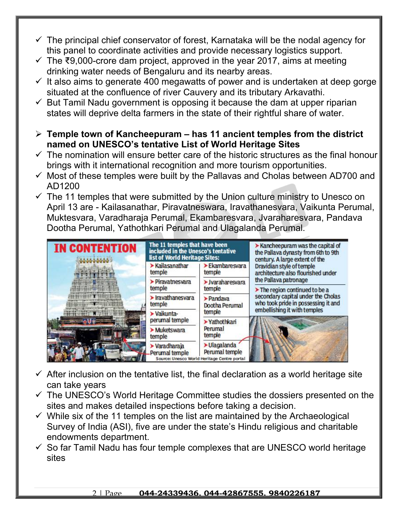- $\checkmark$  The principal chief conservator of forest, Karnataka will be the nodal agency for this panel to coordinate activities and provide necessary logistics support.
- $\checkmark$  The ₹9,000-crore dam project, approved in the year 2017, aims at meeting drinking water needs of Bengaluru and its nearby areas.
- $\checkmark$  It also aims to generate 400 megawatts of power and is undertaken at deep gorge situated at the confluence of river Cauvery and its tributary Arkavathi.
- $\checkmark$  But Tamil Nadu government is opposing it because the dam at upper riparian states will deprive delta farmers in the state of their rightful share of water.
- **Temple town of Kancheepuram has 11 ancient temples from the district named on UNESCO's tentative List of World Heritage Sites**
- $\checkmark$  The nomination will ensure better care of the historic structures as the final honour brings with it international recognition and more tourism opportunities.
- $\checkmark$  Most of these temples were built by the Pallavas and Cholas between AD700 and AD1200
- $\checkmark$  The 11 temples that were submitted by the Union culture ministry to Unesco on April 13 are - Kailasanathar, Piravatneswara, Iravathanesvara, Vaikunta Perumal, Muktesvara, Varadharaja Perumal, Ekambaresvara, Jvaraharesvara, Pandava Dootha Perumal, Yathothkari Perumal and Ulagalanda Perumal.



- $\checkmark$  After inclusion on the tentative list, the final declaration as a world heritage site can take years
- $\checkmark$  The UNESCO's World Heritage Committee studies the dossiers presented on the sites and makes detailed inspections before taking a decision.
- $\checkmark$  While six of the 11 temples on the list are maintained by the Archaeological Survey of India (ASI), five are under the state's Hindu religious and charitable endowments department.
- $\checkmark$  So far Tamil Nadu has four temple complexes that are UNESCO world heritage sites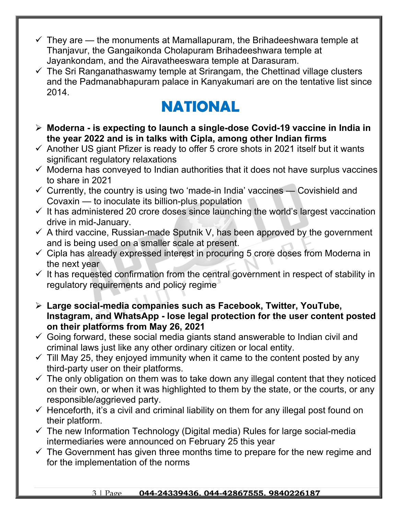- $\checkmark$  They are the monuments at Mamallapuram, the Brihadeeshwara temple at Thanjavur, the Gangaikonda Cholapuram Brihadeeshwara temple at Jayankondam, and the Airavatheeswara temple at Darasuram.
- $\checkmark$  The Sri Ranganathaswamy temple at Srirangam, the Chettinad village clusters and the Padmanabhapuram palace in Kanyakumari are on the tentative list since 2014.

### **NATIONAL**

- **Moderna is expecting to launch a single-dose Covid-19 vaccine in India in the year 2022 and is in talks with Cipla, among other Indian firms**
- $\checkmark$  Another US giant Pfizer is ready to offer 5 crore shots in 2021 itself but it wants significant regulatory relaxations
- $\checkmark$  Moderna has conveyed to Indian authorities that it does not have surplus vaccines to share in 2021
- $\checkmark$  Currently, the country is using two 'made-in India' vaccines Covishield and Covaxin — to inoculate its billion-plus population
- $\checkmark$  It has administered 20 crore doses since launching the world's largest vaccination drive in mid-January.
- $\checkmark$  A third vaccine, Russian-made Sputnik V, has been approved by the government and is being used on a smaller scale at present.
- $\checkmark$  Cipla has already expressed interest in procuring 5 crore doses from Moderna in the next year
- $\checkmark$  It has requested confirmation from the central government in respect of stability in regulatory requirements and policy regime
- **Large social-media companies such as Facebook, Twitter, YouTube, Instagram, and WhatsApp - lose legal protection for the user content posted on their platforms from May 26, 2021**
- $\checkmark$  Going forward, these social media giants stand answerable to Indian civil and criminal laws just like any other ordinary citizen or local entity.
- $\checkmark$  Till May 25, they enjoyed immunity when it came to the content posted by any third-party user on their platforms.
- $\checkmark$  The only obligation on them was to take down any illegal content that they noticed on their own, or when it was highlighted to them by the state, or the courts, or any responsible/aggrieved party.
- $\checkmark$  Henceforth, it's a civil and criminal liability on them for any illegal post found on their platform.
- $\checkmark$  The new Information Technology (Digital media) Rules for large social-media intermediaries were announced on February 25 this year
- $\checkmark$  The Government has given three months time to prepare for the new regime and for the implementation of the norms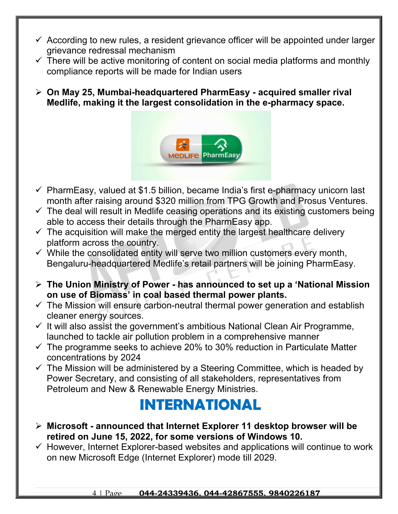- $\checkmark$  According to new rules, a resident grievance officer will be appointed under larger grievance redressal mechanism
- $\checkmark$  There will be active monitoring of content on social media platforms and monthly compliance reports will be made for Indian users
- **On May 25, Mumbai-headquartered PharmEasy acquired smaller rival Medlife, making it the largest consolidation in the e-pharmacy space.**



- $\checkmark$  PharmEasy, valued at \$1.5 billion, became India's first e-pharmacy unicorn last month after raising around \$320 million from TPG Growth and Prosus Ventures.
- $\checkmark$  The deal will result in Medlife ceasing operations and its existing customers being able to access their details through the PharmEasy app.
- $\checkmark$  The acquisition will make the merged entity the largest healthcare delivery platform across the country.
- $\checkmark$  While the consolidated entity will serve two million customers every month, Bengaluru-headquartered Medlife's retail partners will be joining PharmEasy.
- **The Union Ministry of Power has announced to set up a 'National Mission on use of Biomass' in coal based thermal power plants.**
- $\checkmark$  The Mission will ensure carbon-neutral thermal power generation and establish cleaner energy sources.
- $\checkmark$  It will also assist the government's ambitious National Clean Air Programme, launched to tackle air pollution problem in a comprehensive manner
- $\checkmark$  The programme seeks to achieve 20% to 30% reduction in Particulate Matter concentrations by 2024
- $\checkmark$  The Mission will be administered by a Steering Committee, which is headed by Power Secretary, and consisting of all stakeholders, representatives from Petroleum and New & Renewable Energy Ministries.

### **INTERNATIONAL**

- **Microsoft announced that Internet Explorer 11 desktop browser will be retired on June 15, 2022, for some versions of Windows 10.**
- $\checkmark$  However, Internet Explorer-based websites and applications will continue to work on new Microsoft Edge (Internet Explorer) mode till 2029.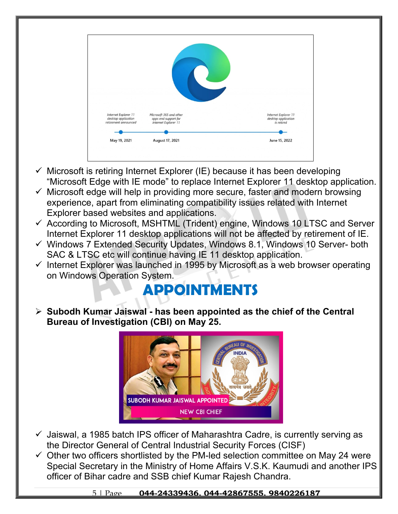

- $\checkmark$  Microsoft is retiring Internet Explorer (IE) because it has been developing "Microsoft Edge with IE mode" to replace Internet Explorer 11 desktop application.
- $\checkmark$  Microsoft edge will help in providing more secure, faster and modern browsing experience, apart from eliminating compatibility issues related with Internet Explorer based websites and applications.
- $\checkmark$  According to Microsoft, MSHTML (Trident) engine, Windows 10 LTSC and Server Internet Explorer 11 desktop applications will not be affected by retirement of IE.
- $\checkmark$  Windows 7 Extended Security Updates, Windows 8.1, Windows 10 Server- both SAC & LTSC etc will continue having IE 11 desktop application.
- $\checkmark$  Internet Explorer was launched in 1995 by Microsoft as a web browser operating on Windows Operation System.

## **APPOINTMENTS**

 **Subodh Kumar Jaiswal - has been appointed as the chief of the Central Bureau of Investigation (CBI) on May 25.**



- $\checkmark$  Jaiswal, a 1985 batch IPS officer of Maharashtra Cadre, is currently serving as the Director General of Central Industrial Security Forces (CISF)
- $\checkmark$  Other two officers shortlisted by the PM-led selection committee on May 24 were Special Secretary in the Ministry of Home Affairs V.S.K. Kaumudi and another IPS officer of Bihar cadre and SSB chief Kumar Rajesh Chandra.

#### 5 | Page **044-24339436, 044-42867555, 9840226187**